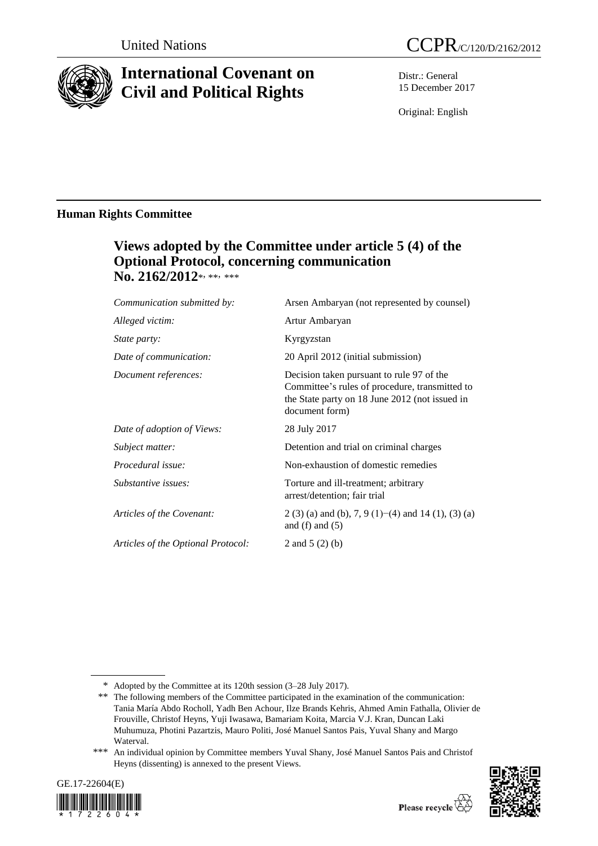

# **International Covenant on Civil and Political Rights**

Distr.: General 15 December 2017

Original: English

# **Human Rights Committee**

# **Views adopted by the Committee under article 5 (4) of the Optional Protocol, concerning communication No. 2162/2012**\*, \*\*, \*\*\*

| Communication submitted by:        | Arsen Ambaryan (not represented by counsel)                                                                                                                     |
|------------------------------------|-----------------------------------------------------------------------------------------------------------------------------------------------------------------|
| Alleged victim:                    | Artur Ambaryan                                                                                                                                                  |
| State party:                       | Kyrgyzstan                                                                                                                                                      |
| Date of communication:             | 20 April 2012 (initial submission)                                                                                                                              |
| Document references:               | Decision taken pursuant to rule 97 of the<br>Committee's rules of procedure, transmitted to<br>the State party on 18 June 2012 (not issued in<br>document form) |
| Date of adoption of Views:         | 28 July 2017                                                                                                                                                    |
| Subject matter:                    | Detention and trial on criminal charges                                                                                                                         |
| Procedural issue:                  | Non-exhaustion of domestic remedies                                                                                                                             |
| Substantive issues:                | Torture and ill-treatment; arbitrary<br>arrest/detention; fair trial                                                                                            |
| Articles of the Covenant:          | 2 (3) (a) and (b), 7, 9 (1)–(4) and 14 (1), (3) (a)<br>and $(f)$ and $(5)$                                                                                      |
| Articles of the Optional Protocol: | 2 and $5(2)(b)$                                                                                                                                                 |

<sup>\*\*\*</sup> An individual opinion by Committee members Yuval Shany, José Manuel Santos Pais and Christof Heyns (dissenting) is annexed to the present Views.





<sup>\*</sup> Adopted by the Committee at its 120th session (3–28 July 2017).

<sup>\*\*</sup> The following members of the Committee participated in the examination of the communication: Tania María Abdo Rocholl, Yadh Ben Achour, Ilze Brands Kehris, Ahmed Amin Fathalla, Olivier de Frouville, Christof Heyns, Yuji Iwasawa, Bamariam Koita, Marcia V.J. Kran, Duncan Laki Muhumuza, Photini Pazartzis, Mauro Politi, José Manuel Santos Pais, Yuval Shany and Margo Waterval.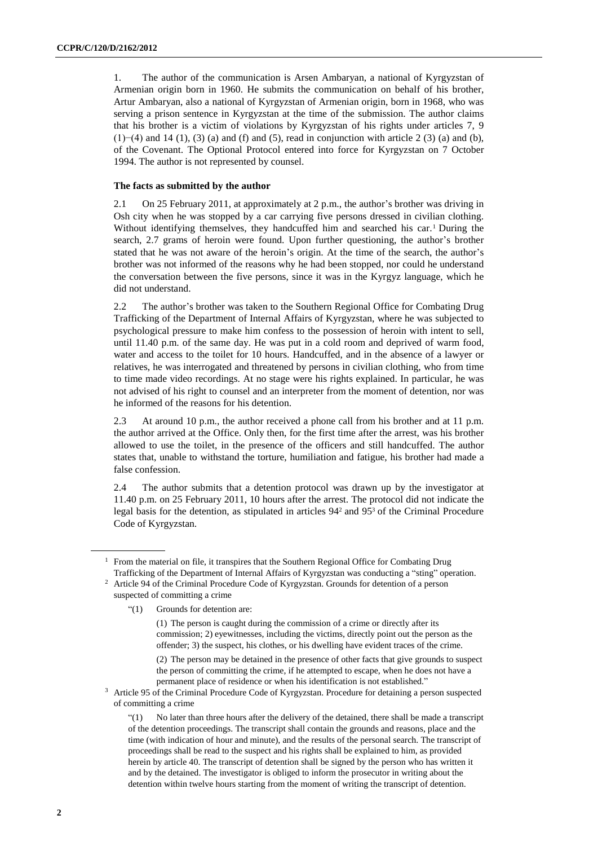1. The author of the communication is Arsen Ambaryan, a national of Kyrgyzstan of Armenian origin born in 1960. He submits the communication on behalf of his brother, Artur Ambaryan, also a national of Kyrgyzstan of Armenian origin, born in 1968, who was serving a prison sentence in Kyrgyzstan at the time of the submission. The author claims that his brother is a victim of violations by Kyrgyzstan of his rights under articles 7, 9 (1)−(4) and 14 (1), (3) (a) and (f) and (5), read in conjunction with article 2 (3) (a) and (b), of the Covenant. The Optional Protocol entered into force for Kyrgyzstan on 7 October 1994. The author is not represented by counsel.

#### **The facts as submitted by the author**

2.1 On 25 February 2011, at approximately at 2 p.m., the author's brother was driving in Osh city when he was stopped by a car carrying five persons dressed in civilian clothing. Without identifying themselves, they handcuffed him and searched his car.<sup>1</sup> During the search, 2.7 grams of heroin were found. Upon further questioning, the author's brother stated that he was not aware of the heroin's origin. At the time of the search, the author's brother was not informed of the reasons why he had been stopped, nor could he understand the conversation between the five persons, since it was in the Kyrgyz language, which he did not understand.

2.2 The author's brother was taken to the Southern Regional Office for Combating Drug Trafficking of the Department of Internal Affairs of Kyrgyzstan, where he was subjected to psychological pressure to make him confess to the possession of heroin with intent to sell, until 11.40 p.m. of the same day. He was put in a cold room and deprived of warm food, water and access to the toilet for 10 hours. Handcuffed, and in the absence of a lawyer or relatives, he was interrogated and threatened by persons in civilian clothing, who from time to time made video recordings. At no stage were his rights explained. In particular, he was not advised of his right to counsel and an interpreter from the moment of detention, nor was he informed of the reasons for his detention.

2.3 At around 10 p.m., the author received a phone call from his brother and at 11 p.m. the author arrived at the Office. Only then, for the first time after the arrest, was his brother allowed to use the toilet, in the presence of the officers and still handcuffed. The author states that, unable to withstand the torture, humiliation and fatigue, his brother had made a false confession.

2.4 The author submits that a detention protocol was drawn up by the investigator at 11.40 p.m. on 25 February 2011, 10 hours after the arrest. The protocol did not indicate the legal basis for the detention, as stipulated in articles 94<sup>2</sup> and 95<sup>3</sup> of the Criminal Procedure Code of Kyrgyzstan.

"(1) Grounds for detention are:

<sup>&</sup>lt;sup>1</sup> From the material on file, it transpires that the Southern Regional Office for Combating Drug Trafficking of the Department of Internal Affairs of Kyrgyzstan was conducting a "sting" operation.

<sup>&</sup>lt;sup>2</sup> Article 94 of the Criminal Procedure Code of Kyrgyzstan. Grounds for detention of a person suspected of committing a crime

<sup>(1)</sup> The person is caught during the commission of a crime or directly after its commission; 2) eyewitnesses, including the victims, directly point out the person as the offender; 3) the suspect, his clothes, or his dwelling have evident traces of the crime.

<sup>(2)</sup> The person may be detained in the presence of other facts that give grounds to suspect the person of committing the crime, if he attempted to escape, when he does not have a permanent place of residence or when his identification is not established."

<sup>3</sup> Article 95 of the Criminal Procedure Code of Kyrgyzstan. Procedure for detaining a person suspected of committing a crime

<sup>&</sup>quot;(1) No later than three hours after the delivery of the detained, there shall be made a transcript of the detention proceedings. The transcript shall contain the grounds and reasons, place and the time (with indication of hour and minute), and the results of the personal search. The transcript of proceedings shall be read to the suspect and his rights shall be explained to him, as provided herein by article 40. The transcript of detention shall be signed by the person who has written it and by the detained. The investigator is obliged to inform the prosecutor in writing about the detention within twelve hours starting from the moment of writing the transcript of detention.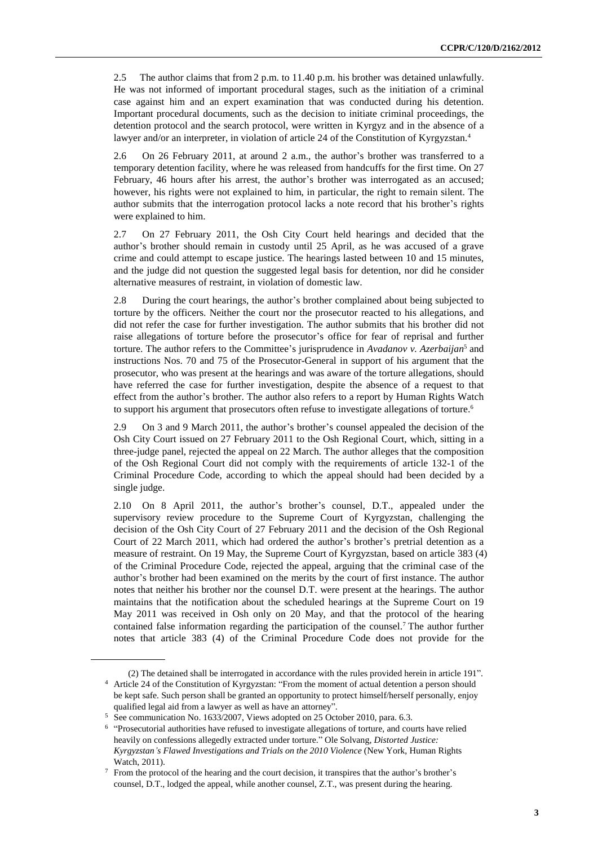2.5 The author claims that from2 p.m. to 11.40 p.m. his brother was detained unlawfully. He was not informed of important procedural stages, such as the initiation of a criminal case against him and an expert examination that was conducted during his detention. Important procedural documents, such as the decision to initiate criminal proceedings, the detention protocol and the search protocol, were written in Kyrgyz and in the absence of a lawyer and/or an interpreter, in violation of article 24 of the Constitution of Kyrgyzstan.<sup>4</sup>

2.6 On 26 February 2011, at around 2 a.m., the author's brother was transferred to a temporary detention facility, where he was released from handcuffs for the first time. On 27 February, 46 hours after his arrest, the author's brother was interrogated as an accused; however, his rights were not explained to him, in particular, the right to remain silent. The author submits that the interrogation protocol lacks a note record that his brother's rights were explained to him.

2.7 On 27 February 2011, the Osh City Court held hearings and decided that the author's brother should remain in custody until 25 April, as he was accused of a grave crime and could attempt to escape justice. The hearings lasted between 10 and 15 minutes, and the judge did not question the suggested legal basis for detention, nor did he consider alternative measures of restraint, in violation of domestic law.

2.8 During the court hearings, the author's brother complained about being subjected to torture by the officers. Neither the court nor the prosecutor reacted to his allegations, and did not refer the case for further investigation. The author submits that his brother did not raise allegations of torture before the prosecutor's office for fear of reprisal and further torture. The author refers to the Committee's jurisprudence in *Avadanov v. Azerbaijan*<sup>5</sup> and instructions Nos. 70 and 75 of the Prosecutor-General in support of his argument that the prosecutor, who was present at the hearings and was aware of the torture allegations, should have referred the case for further investigation, despite the absence of a request to that effect from the author's brother. The author also refers to a report by Human Rights Watch to support his argument that prosecutors often refuse to investigate allegations of torture.<sup>6</sup>

2.9 On 3 and 9 March 2011, the author's brother's counsel appealed the decision of the Osh City Court issued on 27 February 2011 to the Osh Regional Court, which, sitting in a three-judge panel, rejected the appeal on 22 March. The author alleges that the composition of the Osh Regional Court did not comply with the requirements of article 132-1 of the Criminal Procedure Code, according to which the appeal should had been decided by a single judge.

2.10 On 8 April 2011, the author's brother's counsel, D.T., appealed under the supervisory review procedure to the Supreme Court of Kyrgyzstan, challenging the decision of the Osh City Court of 27 February 2011 and the decision of the Osh Regional Court of 22 March 2011, which had ordered the author's brother's pretrial detention as a measure of restraint. On 19 May, the Supreme Court of Kyrgyzstan, based on article 383 (4) of the Criminal Procedure Code, rejected the appeal, arguing that the criminal case of the author's brother had been examined on the merits by the court of first instance. The author notes that neither his brother nor the counsel D.T. were present at the hearings. The author maintains that the notification about the scheduled hearings at the Supreme Court on 19 May 2011 was received in Osh only on 20 May, and that the protocol of the hearing contained false information regarding the participation of the counsel.<sup>7</sup> The author further notes that article 383 (4) of the Criminal Procedure Code does not provide for the

<sup>(2)</sup> The detained shall be interrogated in accordance with the rules provided herein in article 191".

<sup>4</sup> Article 24 of the Constitution of Kyrgyzstan: "From the moment of actual detention a person should be kept safe. Such person shall be granted an opportunity to protect himself/herself personally, enjoy qualified legal aid from a lawyer as well as have an attorney".

<sup>5</sup> See communication No. 1633/2007, Views adopted on 25 October 2010, para. 6.3.

<sup>&</sup>lt;sup>6</sup> "Prosecutorial authorities have refused to investigate allegations of torture, and courts have relied heavily on confessions allegedly extracted under torture." Ole Solvang, *Distorted Justice: Kyrgyzstan's Flawed Investigations and Trials on the 2010 Violence* (New York, Human Rights Watch, 2011).

 $7$  From the protocol of the hearing and the court decision, it transpires that the author's brother's counsel, D.T., lodged the appeal, while another counsel, Z.T., was present during the hearing.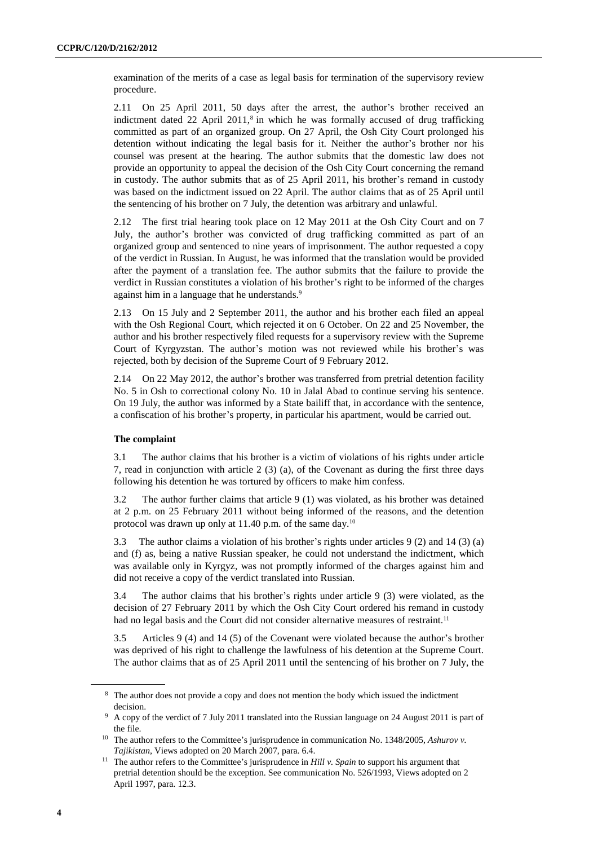examination of the merits of a case as legal basis for termination of the supervisory review procedure.

2.11 On 25 April 2011, 50 days after the arrest, the author's brother received an indictment dated  $22$  April  $2011$ ,<sup>8</sup> in which he was formally accused of drug trafficking committed as part of an organized group. On 27 April, the Osh City Court prolonged his detention without indicating the legal basis for it. Neither the author's brother nor his counsel was present at the hearing. The author submits that the domestic law does not provide an opportunity to appeal the decision of the Osh City Court concerning the remand in custody. The author submits that as of 25 April 2011, his brother's remand in custody was based on the indictment issued on 22 April. The author claims that as of 25 April until the sentencing of his brother on 7 July, the detention was arbitrary and unlawful.

2.12 The first trial hearing took place on 12 May 2011 at the Osh City Court and on 7 July, the author's brother was convicted of drug trafficking committed as part of an organized group and sentenced to nine years of imprisonment. The author requested a copy of the verdict in Russian. In August, he was informed that the translation would be provided after the payment of a translation fee. The author submits that the failure to provide the verdict in Russian constitutes a violation of his brother's right to be informed of the charges against him in a language that he understands.<sup>9</sup>

2.13 On 15 July and 2 September 2011, the author and his brother each filed an appeal with the Osh Regional Court, which rejected it on 6 October. On 22 and 25 November, the author and his brother respectively filed requests for a supervisory review with the Supreme Court of Kyrgyzstan. The author's motion was not reviewed while his brother's was rejected, both by decision of the Supreme Court of 9 February 2012.

2.14 On 22 May 2012, the author's brother was transferred from pretrial detention facility No. 5 in Osh to correctional colony No. 10 in Jalal Abad to continue serving his sentence. On 19 July, the author was informed by a State bailiff that, in accordance with the sentence, a confiscation of his brother's property, in particular his apartment, would be carried out.

#### **The complaint**

3.1 The author claims that his brother is a victim of violations of his rights under article 7, read in conjunction with article 2 (3) (a), of the Covenant as during the first three days following his detention he was tortured by officers to make him confess.

3.2 The author further claims that article 9 (1) was violated, as his brother was detained at 2 p.m. on 25 February 2011 without being informed of the reasons, and the detention protocol was drawn up only at 11.40 p.m. of the same day.<sup>10</sup>

3.3 The author claims a violation of his brother's rights under articles 9 (2) and 14 (3) (a) and (f) as, being a native Russian speaker, he could not understand the indictment, which was available only in Kyrgyz, was not promptly informed of the charges against him and did not receive a copy of the verdict translated into Russian.

3.4 The author claims that his brother's rights under article 9 (3) were violated, as the decision of 27 February 2011 by which the Osh City Court ordered his remand in custody had no legal basis and the Court did not consider alternative measures of restraint.<sup>11</sup>

3.5 Articles 9 (4) and 14 (5) of the Covenant were violated because the author's brother was deprived of his right to challenge the lawfulness of his detention at the Supreme Court. The author claims that as of 25 April 2011 until the sentencing of his brother on 7 July, the

<sup>8</sup> The author does not provide a copy and does not mention the body which issued the indictment decision.

<sup>9</sup> A copy of the verdict of 7 July 2011 translated into the Russian language on 24 August 2011 is part of the file.

<sup>10</sup> The author refers to the Committee's jurisprudence in communication No. 1348/2005, *Ashurov v. Tajikistan*, Views adopted on 20 March 2007, para. 6.4.

<sup>11</sup> The author refers to the Committee's jurisprudence in *Hill v. Spain* to support his argument that pretrial detention should be the exception. See communication No. 526/1993, Views adopted on 2 April 1997, para. 12.3.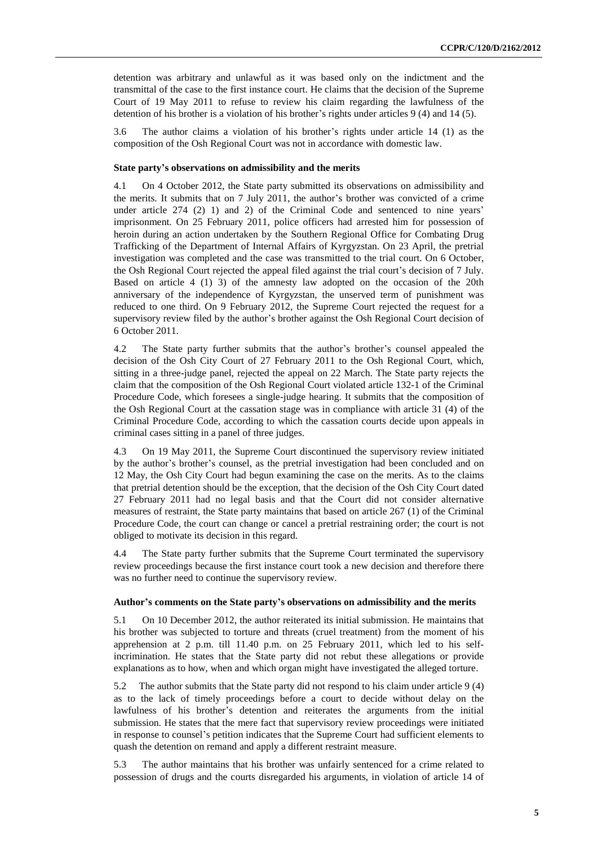detention was arbitrary and unlawful as it was based only on the indictment and the transmittal of the case to the first instance court. He claims that the decision of the Supreme Court of 19 May 2011 to refuse to review his claim regarding the lawfulness of the detention of his brother is a violation of his brother's rights under articles 9 (4) and 14 (5).

3.6 The author claims a violation of his brother's rights under article 14 (1) as the composition of the Osh Regional Court was not in accordance with domestic law.

#### **State party's observations on admissibility and the merits**

4.1 On 4 October 2012, the State party submitted its observations on admissibility and the merits. It submits that on 7 July 2011, the author's brother was convicted of a crime under article 274 (2) 1) and 2) of the Criminal Code and sentenced to nine years' imprisonment. On 25 February 2011, police officers had arrested him for possession of heroin during an action undertaken by the Southern Regional Office for Combating Drug Trafficking of the Department of Internal Affairs of Kyrgyzstan. On 23 April, the pretrial investigation was completed and the case was transmitted to the trial court. On 6 October, the Osh Regional Court rejected the appeal filed against the trial court's decision of 7 July. Based on article 4 (1) 3) of the amnesty law adopted on the occasion of the 20th anniversary of the independence of Kyrgyzstan, the unserved term of punishment was reduced to one third. On 9 February 2012, the Supreme Court rejected the request for a supervisory review filed by the author's brother against the Osh Regional Court decision of 6 October 2011.

4.2 The State party further submits that the author's brother's counsel appealed the decision of the Osh City Court of 27 February 2011 to the Osh Regional Court, which, sitting in a three-judge panel, rejected the appeal on 22 March. The State party rejects the claim that the composition of the Osh Regional Court violated article 132-1 of the Criminal Procedure Code, which foresees a single-judge hearing. It submits that the composition of the Osh Regional Court at the cassation stage was in compliance with article 31 (4) of the Criminal Procedure Code, according to which the cassation courts decide upon appeals in criminal cases sitting in a panel of three judges.

4.3 On 19 May 2011, the Supreme Court discontinued the supervisory review initiated by the author's brother's counsel, as the pretrial investigation had been concluded and on 12 May, the Osh City Court had begun examining the case on the merits. As to the claims that pretrial detention should be the exception, that the decision of the Osh City Court dated 27 February 2011 had no legal basis and that the Court did not consider alternative measures of restraint, the State party maintains that based on article 267 (1) of the Criminal Procedure Code, the court can change or cancel a pretrial restraining order; the court is not obliged to motivate its decision in this regard.

4.4 The State party further submits that the Supreme Court terminated the supervisory review proceedings because the first instance court took a new decision and therefore there was no further need to continue the supervisory review.

#### **Author's comments on the State party's observations on admissibility and the merits**

5.1 On 10 December 2012, the author reiterated its initial submission. He maintains that his brother was subjected to torture and threats (cruel treatment) from the moment of his apprehension at 2 p.m. till 11.40 p.m. on 25 February 2011, which led to his selfincrimination. He states that the State party did not rebut these allegations or provide explanations as to how, when and which organ might have investigated the alleged torture.

5.2 The author submits that the State party did not respond to his claim under article 9 (4) as to the lack of timely proceedings before a court to decide without delay on the lawfulness of his brother's detention and reiterates the arguments from the initial submission. He states that the mere fact that supervisory review proceedings were initiated in response to counsel's petition indicates that the Supreme Court had sufficient elements to quash the detention on remand and apply a different restraint measure.

5.3 The author maintains that his brother was unfairly sentenced for a crime related to possession of drugs and the courts disregarded his arguments, in violation of article 14 of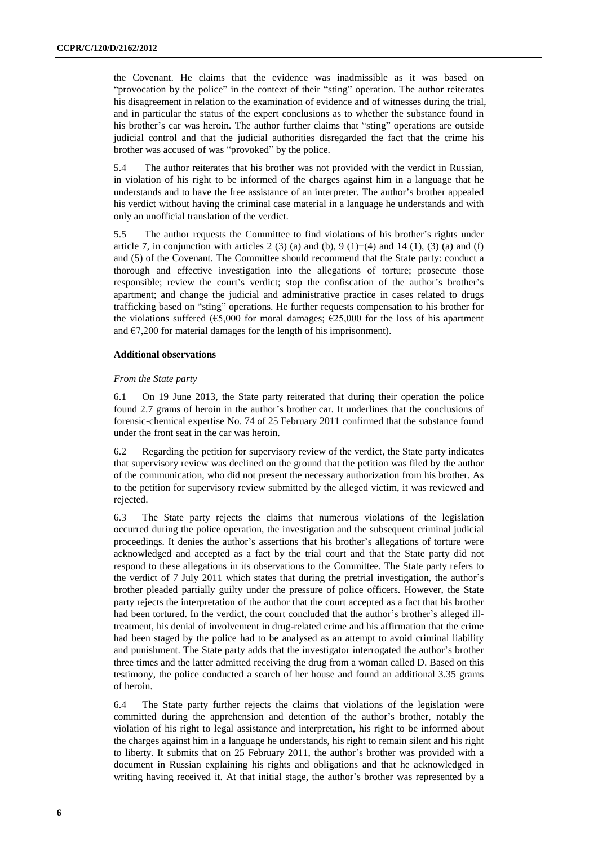the Covenant. He claims that the evidence was inadmissible as it was based on "provocation by the police" in the context of their "sting" operation. The author reiterates his disagreement in relation to the examination of evidence and of witnesses during the trial, and in particular the status of the expert conclusions as to whether the substance found in his brother's car was heroin. The author further claims that "sting" operations are outside judicial control and that the judicial authorities disregarded the fact that the crime his brother was accused of was "provoked" by the police.

5.4 The author reiterates that his brother was not provided with the verdict in Russian, in violation of his right to be informed of the charges against him in a language that he understands and to have the free assistance of an interpreter. The author's brother appealed his verdict without having the criminal case material in a language he understands and with only an unofficial translation of the verdict.

5.5 The author requests the Committee to find violations of his brother's rights under article 7, in conjunction with articles 2 (3) (a) and (b), 9 (1)–(4) and 14 (1), (3) (a) and (f) and (5) of the Covenant. The Committee should recommend that the State party: conduct a thorough and effective investigation into the allegations of torture; prosecute those responsible; review the court's verdict; stop the confiscation of the author's brother's apartment; and change the judicial and administrative practice in cases related to drugs trafficking based on "sting" operations. He further requests compensation to his brother for the violations suffered ( $\epsilon$ 5,000 for moral damages;  $\epsilon$ 25,000 for the loss of his apartment and  $\epsilon$ 7,200 for material damages for the length of his imprisonment).

#### **Additional observations**

#### *From the State party*

6.1 On 19 June 2013, the State party reiterated that during their operation the police found 2.7 grams of heroin in the author's brother car. It underlines that the conclusions of forensic-chemical expertise No. 74 of 25 February 2011 confirmed that the substance found under the front seat in the car was heroin.

6.2 Regarding the petition for supervisory review of the verdict, the State party indicates that supervisory review was declined on the ground that the petition was filed by the author of the communication, who did not present the necessary authorization from his brother. As to the petition for supervisory review submitted by the alleged victim, it was reviewed and rejected.

6.3 The State party rejects the claims that numerous violations of the legislation occurred during the police operation, the investigation and the subsequent criminal judicial proceedings. It denies the author's assertions that his brother's allegations of torture were acknowledged and accepted as a fact by the trial court and that the State party did not respond to these allegations in its observations to the Committee. The State party refers to the verdict of 7 July 2011 which states that during the pretrial investigation, the author's brother pleaded partially guilty under the pressure of police officers. However, the State party rejects the interpretation of the author that the court accepted as a fact that his brother had been tortured. In the verdict, the court concluded that the author's brother's alleged illtreatment, his denial of involvement in drug-related crime and his affirmation that the crime had been staged by the police had to be analysed as an attempt to avoid criminal liability and punishment. The State party adds that the investigator interrogated the author's brother three times and the latter admitted receiving the drug from a woman called D. Based on this testimony, the police conducted a search of her house and found an additional 3.35 grams of heroin.

6.4 The State party further rejects the claims that violations of the legislation were committed during the apprehension and detention of the author's brother, notably the violation of his right to legal assistance and interpretation, his right to be informed about the charges against him in a language he understands, his right to remain silent and his right to liberty. It submits that on 25 February 2011, the author's brother was provided with a document in Russian explaining his rights and obligations and that he acknowledged in writing having received it. At that initial stage, the author's brother was represented by a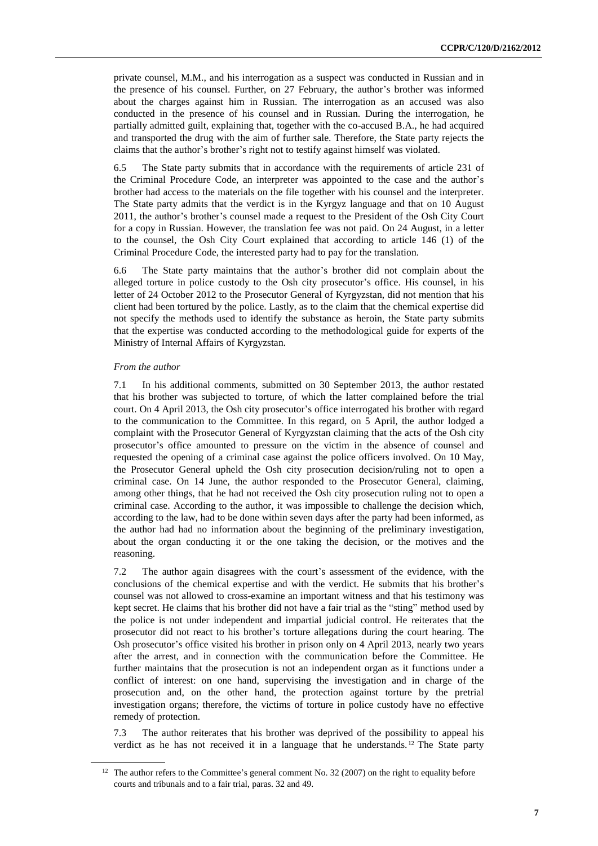private counsel, M.M., and his interrogation as a suspect was conducted in Russian and in the presence of his counsel. Further, on 27 February, the author's brother was informed about the charges against him in Russian. The interrogation as an accused was also conducted in the presence of his counsel and in Russian. During the interrogation, he partially admitted guilt, explaining that, together with the co-accused B.A., he had acquired and transported the drug with the aim of further sale. Therefore, the State party rejects the claims that the author's brother's right not to testify against himself was violated.

6.5 The State party submits that in accordance with the requirements of article 231 of the Criminal Procedure Code, an interpreter was appointed to the case and the author's brother had access to the materials on the file together with his counsel and the interpreter. The State party admits that the verdict is in the Kyrgyz language and that on 10 August 2011, the author's brother's counsel made a request to the President of the Osh City Court for a copy in Russian. However, the translation fee was not paid. On 24 August, in a letter to the counsel, the Osh City Court explained that according to article 146 (1) of the Criminal Procedure Code, the interested party had to pay for the translation.

6.6 The State party maintains that the author's brother did not complain about the alleged torture in police custody to the Osh city prosecutor's office. His counsel, in his letter of 24 October 2012 to the Prosecutor General of Kyrgyzstan, did not mention that his client had been tortured by the police. Lastly, as to the claim that the chemical expertise did not specify the methods used to identify the substance as heroin, the State party submits that the expertise was conducted according to the methodological guide for experts of the Ministry of Internal Affairs of Kyrgyzstan.

#### *From the author*

7.1 In his additional comments, submitted on 30 September 2013, the author restated that his brother was subjected to torture, of which the latter complained before the trial court. On 4 April 2013, the Osh city prosecutor's office interrogated his brother with regard to the communication to the Committee. In this regard, on 5 April, the author lodged a complaint with the Prosecutor General of Kyrgyzstan claiming that the acts of the Osh city prosecutor's office amounted to pressure on the victim in the absence of counsel and requested the opening of a criminal case against the police officers involved. On 10 May, the Prosecutor General upheld the Osh city prosecution decision/ruling not to open a criminal case. On 14 June, the author responded to the Prosecutor General, claiming, among other things, that he had not received the Osh city prosecution ruling not to open a criminal case. According to the author, it was impossible to challenge the decision which, according to the law, had to be done within seven days after the party had been informed, as the author had had no information about the beginning of the preliminary investigation, about the organ conducting it or the one taking the decision, or the motives and the reasoning.

7.2 The author again disagrees with the court's assessment of the evidence, with the conclusions of the chemical expertise and with the verdict. He submits that his brother's counsel was not allowed to cross-examine an important witness and that his testimony was kept secret. He claims that his brother did not have a fair trial as the "sting" method used by the police is not under independent and impartial judicial control. He reiterates that the prosecutor did not react to his brother's torture allegations during the court hearing. The Osh prosecutor's office visited his brother in prison only on 4 April 2013, nearly two years after the arrest, and in connection with the communication before the Committee. He further maintains that the prosecution is not an independent organ as it functions under a conflict of interest: on one hand, supervising the investigation and in charge of the prosecution and, on the other hand, the protection against torture by the pretrial investigation organs; therefore, the victims of torture in police custody have no effective remedy of protection.

7.3 The author reiterates that his brother was deprived of the possibility to appeal his verdict as he has not received it in a language that he understands. <sup>12</sup> The State party

<sup>&</sup>lt;sup>12</sup> The author refers to the Committee's general comment No. 32 (2007) on the right to equality before courts and tribunals and to a fair trial, paras. 32 and 49.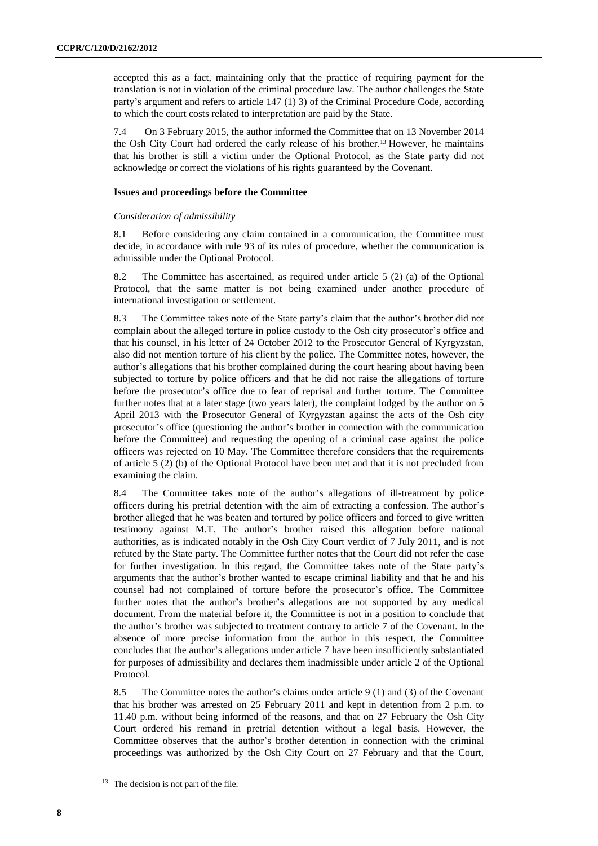accepted this as a fact, maintaining only that the practice of requiring payment for the translation is not in violation of the criminal procedure law. The author challenges the State party's argument and refers to article 147 (1) 3) of the Criminal Procedure Code, according to which the court costs related to interpretation are paid by the State.

7.4 On 3 February 2015, the author informed the Committee that on 13 November 2014 the Osh City Court had ordered the early release of his brother.<sup>13</sup> However, he maintains that his brother is still a victim under the Optional Protocol, as the State party did not acknowledge or correct the violations of his rights guaranteed by the Covenant.

#### **Issues and proceedings before the Committee**

#### *Consideration of admissibility*

8.1 Before considering any claim contained in a communication, the Committee must decide, in accordance with rule 93 of its rules of procedure, whether the communication is admissible under the Optional Protocol.

8.2 The Committee has ascertained, as required under article 5 (2) (a) of the Optional Protocol, that the same matter is not being examined under another procedure of international investigation or settlement.

8.3 The Committee takes note of the State party's claim that the author's brother did not complain about the alleged torture in police custody to the Osh city prosecutor's office and that his counsel, in his letter of 24 October 2012 to the Prosecutor General of Kyrgyzstan, also did not mention torture of his client by the police. The Committee notes, however, the author's allegations that his brother complained during the court hearing about having been subjected to torture by police officers and that he did not raise the allegations of torture before the prosecutor's office due to fear of reprisal and further torture. The Committee further notes that at a later stage (two years later), the complaint lodged by the author on 5 April 2013 with the Prosecutor General of Kyrgyzstan against the acts of the Osh city prosecutor's office (questioning the author's brother in connection with the communication before the Committee) and requesting the opening of a criminal case against the police officers was rejected on 10 May. The Committee therefore considers that the requirements of article 5 (2) (b) of the Optional Protocol have been met and that it is not precluded from examining the claim.

8.4 The Committee takes note of the author's allegations of ill-treatment by police officers during his pretrial detention with the aim of extracting a confession. The author's brother alleged that he was beaten and tortured by police officers and forced to give written testimony against M.T. The author's brother raised this allegation before national authorities, as is indicated notably in the Osh City Court verdict of 7 July 2011, and is not refuted by the State party. The Committee further notes that the Court did not refer the case for further investigation. In this regard, the Committee takes note of the State party's arguments that the author's brother wanted to escape criminal liability and that he and his counsel had not complained of torture before the prosecutor's office. The Committee further notes that the author's brother's allegations are not supported by any medical document. From the material before it, the Committee is not in a position to conclude that the author's brother was subjected to treatment contrary to article 7 of the Covenant. In the absence of more precise information from the author in this respect, the Committee concludes that the author's allegations under article 7 have been insufficiently substantiated for purposes of admissibility and declares them inadmissible under article 2 of the Optional Protocol.

8.5 The Committee notes the author's claims under article 9 (1) and (3) of the Covenant that his brother was arrested on 25 February 2011 and kept in detention from 2 p.m. to 11.40 p.m. without being informed of the reasons, and that on 27 February the Osh City Court ordered his remand in pretrial detention without a legal basis. However, the Committee observes that the author's brother detention in connection with the criminal proceedings was authorized by the Osh City Court on 27 February and that the Court,

<sup>&</sup>lt;sup>13</sup> The decision is not part of the file.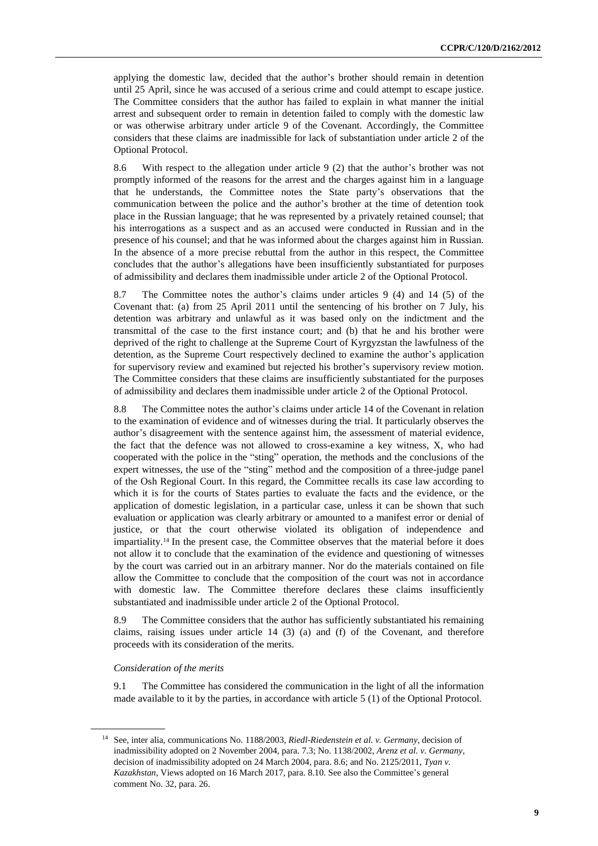applying the domestic law, decided that the author's brother should remain in detention until 25 April, since he was accused of a serious crime and could attempt to escape justice. The Committee considers that the author has failed to explain in what manner the initial arrest and subsequent order to remain in detention failed to comply with the domestic law or was otherwise arbitrary under article 9 of the Covenant. Accordingly, the Committee considers that these claims are inadmissible for lack of substantiation under article 2 of the Optional Protocol.

8.6 With respect to the allegation under article 9 (2) that the author's brother was not promptly informed of the reasons for the arrest and the charges against him in a language that he understands, the Committee notes the State party's observations that the communication between the police and the author's brother at the time of detention took place in the Russian language; that he was represented by a privately retained counsel; that his interrogations as a suspect and as an accused were conducted in Russian and in the presence of his counsel; and that he was informed about the charges against him in Russian. In the absence of a more precise rebuttal from the author in this respect, the Committee concludes that the author's allegations have been insufficiently substantiated for purposes of admissibility and declares them inadmissible under article 2 of the Optional Protocol.

8.7 The Committee notes the author's claims under articles 9 (4) and 14 (5) of the Covenant that: (a) from 25 April 2011 until the sentencing of his brother on 7 July, his detention was arbitrary and unlawful as it was based only on the indictment and the transmittal of the case to the first instance court; and (b) that he and his brother were deprived of the right to challenge at the Supreme Court of Kyrgyzstan the lawfulness of the detention, as the Supreme Court respectively declined to examine the author's application for supervisory review and examined but rejected his brother's supervisory review motion. The Committee considers that these claims are insufficiently substantiated for the purposes of admissibility and declares them inadmissible under article 2 of the Optional Protocol.

8.8 The Committee notes the author's claims under article 14 of the Covenant in relation to the examination of evidence and of witnesses during the trial. It particularly observes the author's disagreement with the sentence against him, the assessment of material evidence, the fact that the defence was not allowed to cross-examine a key witness, X, who had cooperated with the police in the "sting" operation, the methods and the conclusions of the expert witnesses, the use of the "sting" method and the composition of a three-judge panel of the Osh Regional Court. In this regard, the Committee recalls its case law according to which it is for the courts of States parties to evaluate the facts and the evidence, or the application of domestic legislation, in a particular case, unless it can be shown that such evaluation or application was clearly arbitrary or amounted to a manifest error or denial of justice, or that the court otherwise violated its obligation of independence and impartiality.<sup>14</sup> In the present case, the Committee observes that the material before it does not allow it to conclude that the examination of the evidence and questioning of witnesses by the court was carried out in an arbitrary manner. Nor do the materials contained on file allow the Committee to conclude that the composition of the court was not in accordance with domestic law. The Committee therefore declares these claims insufficiently substantiated and inadmissible under article 2 of the Optional Protocol.

8.9 The Committee considers that the author has sufficiently substantiated his remaining claims, raising issues under article 14 (3) (a) and (f) of the Covenant, and therefore proceeds with its consideration of the merits.

#### *Consideration of the merits*

9.1 The Committee has considered the communication in the light of all the information made available to it by the parties, in accordance with article 5 (1) of the Optional Protocol.

<sup>14</sup> See, inter alia, communications No. 1188/2003, *Riedl-Riedenstein et al. v. Germany*, decision of inadmissibility adopted on 2 November 2004, para. 7.3; No. 1138/2002, *Arenz et al. v. Germany*, decision of inadmissibility adopted on 24 March 2004, para. 8.6; and No. 2125/2011, *Tyan v. Kazakhstan*, Views adopted on 16 March 2017, para. 8.10. See also the Committee's general comment No. 32, para. 26.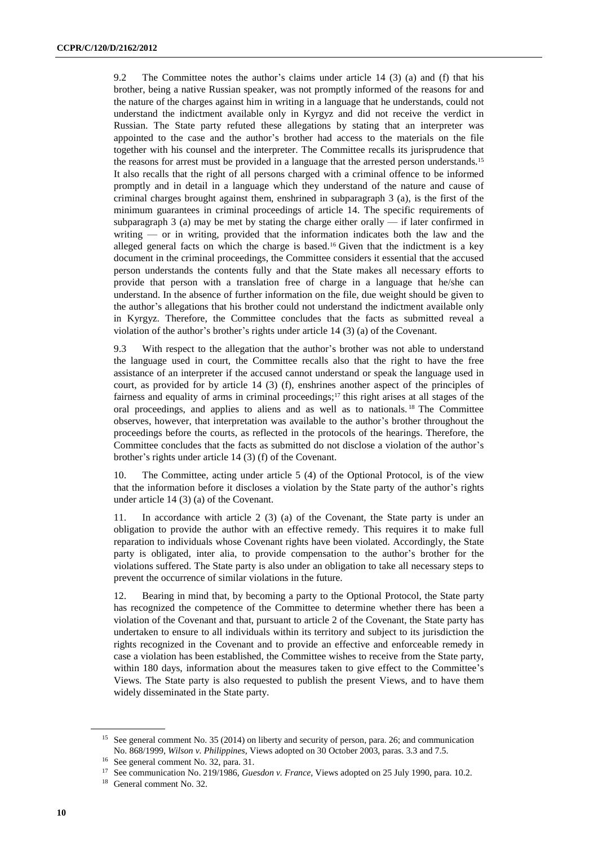9.2 The Committee notes the author's claims under article 14 (3) (a) and (f) that his brother, being a native Russian speaker, was not promptly informed of the reasons for and the nature of the charges against him in writing in a language that he understands, could not understand the indictment available only in Kyrgyz and did not receive the verdict in Russian. The State party refuted these allegations by stating that an interpreter was appointed to the case and the author's brother had access to the materials on the file together with his counsel and the interpreter. The Committee recalls its jurisprudence that the reasons for arrest must be provided in a language that the arrested person understands.<sup>15</sup> It also recalls that the right of all persons charged with a criminal offence to be informed promptly and in detail in a language which they understand of the nature and cause of criminal charges brought against them, enshrined in subparagraph 3 (a), is the first of the minimum guarantees in criminal proceedings of article 14. The specific requirements of subparagraph  $3$  (a) may be met by stating the charge either orally  $-$  if later confirmed in writing — or in writing, provided that the information indicates both the law and the alleged general facts on which the charge is based.<sup>16</sup> Given that the indictment is a key document in the criminal proceedings, the Committee considers it essential that the accused person understands the contents fully and that the State makes all necessary efforts to provide that person with a translation free of charge in a language that he/she can understand. In the absence of further information on the file, due weight should be given to the author's allegations that his brother could not understand the indictment available only in Kyrgyz. Therefore, the Committee concludes that the facts as submitted reveal a violation of the author's brother's rights under article 14 (3) (a) of the Covenant.

9.3 With respect to the allegation that the author's brother was not able to understand the language used in court, the Committee recalls also that the right to have the free assistance of an interpreter if the accused cannot understand or speak the language used in court, as provided for by article 14 (3) (f), enshrines another aspect of the principles of fairness and equality of arms in criminal proceedings;<sup>17</sup> this right arises at all stages of the oral proceedings, and applies to aliens and as well as to nationals. <sup>18</sup> The Committee observes, however, that interpretation was available to the author's brother throughout the proceedings before the courts, as reflected in the protocols of the hearings. Therefore, the Committee concludes that the facts as submitted do not disclose a violation of the author's brother's rights under article 14 (3) (f) of the Covenant.

10. The Committee, acting under article 5 (4) of the Optional Protocol, is of the view that the information before it discloses a violation by the State party of the author's rights under article 14 (3) (a) of the Covenant.

11. In accordance with article 2 (3) (a) of the Covenant, the State party is under an obligation to provide the author with an effective remedy. This requires it to make full reparation to individuals whose Covenant rights have been violated. Accordingly, the State party is obligated, inter alia, to provide compensation to the author's brother for the violations suffered. The State party is also under an obligation to take all necessary steps to prevent the occurrence of similar violations in the future.

12. Bearing in mind that, by becoming a party to the Optional Protocol, the State party has recognized the competence of the Committee to determine whether there has been a violation of the Covenant and that, pursuant to article 2 of the Covenant, the State party has undertaken to ensure to all individuals within its territory and subject to its jurisdiction the rights recognized in the Covenant and to provide an effective and enforceable remedy in case a violation has been established, the Committee wishes to receive from the State party, within 180 days, information about the measures taken to give effect to the Committee's Views. The State party is also requested to publish the present Views, and to have them widely disseminated in the State party.

<sup>&</sup>lt;sup>15</sup> See general comment No. 35 (2014) on liberty and security of person, para. 26; and communication No. 868/1999, *Wilson v. Philippines,* Views adopted on 30 October 2003, paras. 3.3 and 7.5.

<sup>16</sup> See general comment No. 32, para. 31.

<sup>17</sup> See communication No. 219/1986, *Guesdon v. France,* Views adopted on 25 July 1990, para. 10.2.

<sup>18</sup> General comment No. 32.